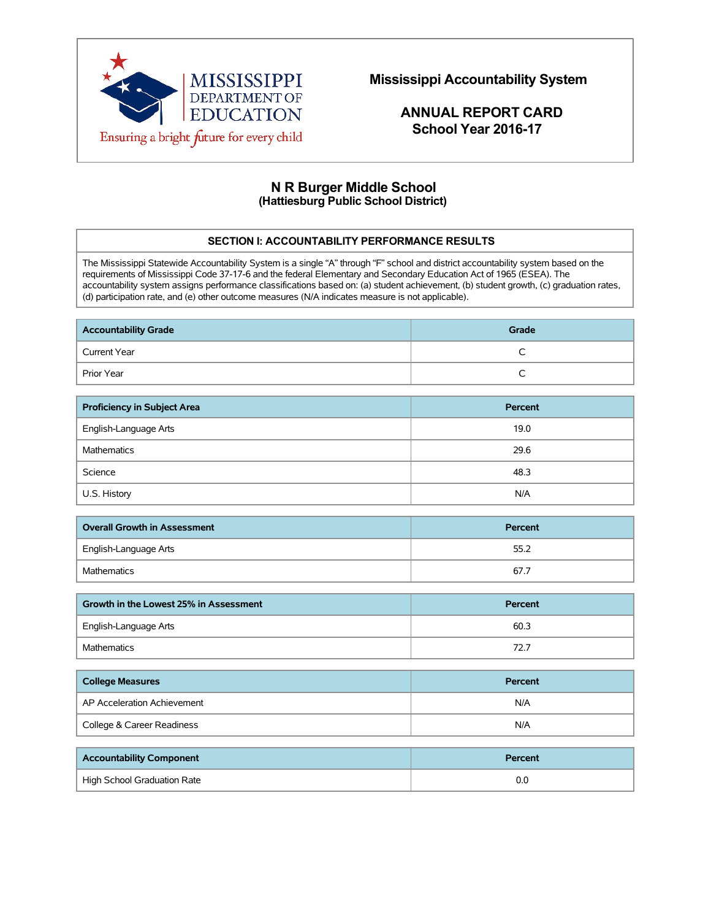

 **Mississippi Accountability System**

 **ANNUAL REPORT CARD School Year 2016-17**

# **N R Burger Middle School (Hattiesburg Public School District)**

### **SECTION I: ACCOUNTABILITY PERFORMANCE RESULTS**

The Mississippi Statewide Accountability System is a single "A" through "F" school and district accountability system based on the requirements of Mississippi Code 37-17-6 and the federal Elementary and Secondary Education Act of 1965 (ESEA). The accountability system assigns performance classifications based on: (a) student achievement, (b) student growth, (c) graduation rates, (d) participation rate, and (e) other outcome measures (N/A indicates measure is not applicable).

| <b>Accountability Grade</b> | Grade |
|-----------------------------|-------|
| Current Year                | ∽     |
| Prior Year                  | ◡     |

| <b>Proficiency in Subject Area</b> | Percent |
|------------------------------------|---------|
| English-Language Arts              | 19.0    |
| <b>Mathematics</b>                 | 29.6    |
| Science                            | 48.3    |
| U.S. History                       | N/A     |

| <b>Overall Growth in Assessment</b> | Percent |
|-------------------------------------|---------|
| English-Language Arts               | 55.2    |
| Mathematics                         | 67.7    |

| Growth in the Lowest 25% in Assessment | Percent |
|----------------------------------------|---------|
| English-Language Arts                  | 60.3    |
| Mathematics                            | 72.7    |

| <b>College Measures</b>     | Percent |
|-----------------------------|---------|
| AP Acceleration Achievement | N/A     |
| College & Career Readiness  | N/A     |

| <b>Accountability Component</b> | Percent |
|---------------------------------|---------|
| High School Graduation Rate     | 0.C     |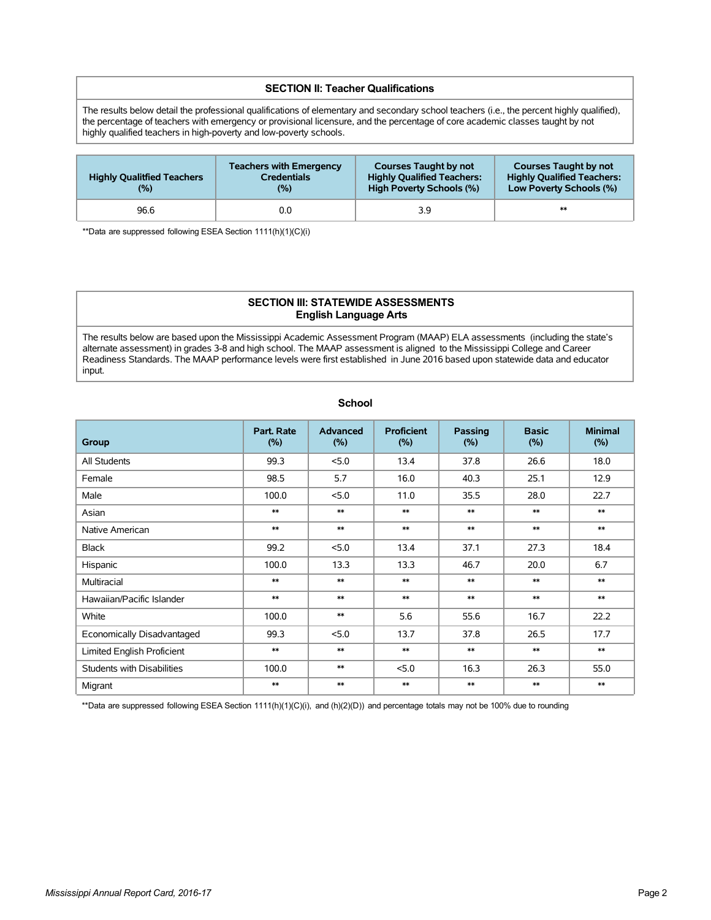#### **SECTION II: Teacher Qualifications**

The results below detail the professional qualifications of elementary and secondary school teachers (i.e., the percent highly qualified), the percentage of teachers with emergency or provisional licensure, and the percentage of core academic classes taught by not highly qualified teachers in high-poverty and low-poverty schools.

| <b>Highly Qualitfied Teachers</b><br>(%) | <b>Teachers with Emergency</b><br><b>Credentials</b><br>$(\% )$ | <b>Courses Taught by not</b><br><b>Highly Qualified Teachers:</b><br>High Poverty Schools (%) | <b>Courses Taught by not</b><br><b>Highly Qualified Teachers:</b><br>Low Poverty Schools (%) |
|------------------------------------------|-----------------------------------------------------------------|-----------------------------------------------------------------------------------------------|----------------------------------------------------------------------------------------------|
| 96.6                                     | 0.0                                                             | 3.9                                                                                           | $**$                                                                                         |

\*\*Data are suppressed following ESEA Section 1111(h)(1)(C)(i)

### **SECTION III: STATEWIDE ASSESSMENTS English Language Arts**

The results below are based upon the Mississippi Academic Assessment Program (MAAP) ELA assessments (including the state's alternate assessment) in grades 3-8 and high school. The MAAP assessment is aligned to the Mississippi College and Career Readiness Standards. The MAAP performance levels were first established in June 2016 based upon statewide data and educator input.

| Group                             | Part. Rate<br>(%) | <b>Advanced</b><br>(%) | <b>Proficient</b><br>(%) | Passing<br>(%) | <b>Basic</b><br>(%) | <b>Minimal</b><br>(%) |
|-----------------------------------|-------------------|------------------------|--------------------------|----------------|---------------------|-----------------------|
| All Students                      | 99.3              | 5.0                    | 13.4                     | 37.8           | 26.6                | 18.0                  |
| Female                            | 98.5              | 5.7                    | 16.0                     | 40.3           | 25.1                | 12.9                  |
| Male                              | 100.0             | < 5.0                  | 11.0                     | 35.5           | 28.0                | 22.7                  |
| Asian                             | $**$              | $**$                   | $**$                     | $**$           | $\ast\ast$          | $**$                  |
| Native American                   | $**$              | $**$                   | $**$                     | $**$           | $**$                | $**$                  |
| <b>Black</b>                      | 99.2              | < 5.0                  | 13.4                     | 37.1           | 27.3                | 18.4                  |
| Hispanic                          | 100.0             | 13.3                   | 13.3                     | 46.7           | 20.0                | 6.7                   |
| Multiracial                       | $**$              | $**$                   | $**$                     | $**$           | $**$                | $**$                  |
| Hawaiian/Pacific Islander         | $**$              | $**$                   | $**$                     | $**$           | $\ast\ast$          | $**$                  |
| White                             | 100.0             | $**$                   | 5.6                      | 55.6           | 16.7                | 22.2                  |
| Economically Disadvantaged        | 99.3              | 5.0                    | 13.7                     | 37.8           | 26.5                | 17.7                  |
| Limited English Proficient        | $**$              | $**$                   | $**$                     | $**$           | $**$                | $**$                  |
| <b>Students with Disabilities</b> | 100.0             | $**$                   | 5.0                      | 16.3           | 26.3                | 55.0                  |
| Migrant                           | $**$              | $**$                   | $**$                     | $**$           | $**$                | $**$                  |

 **School**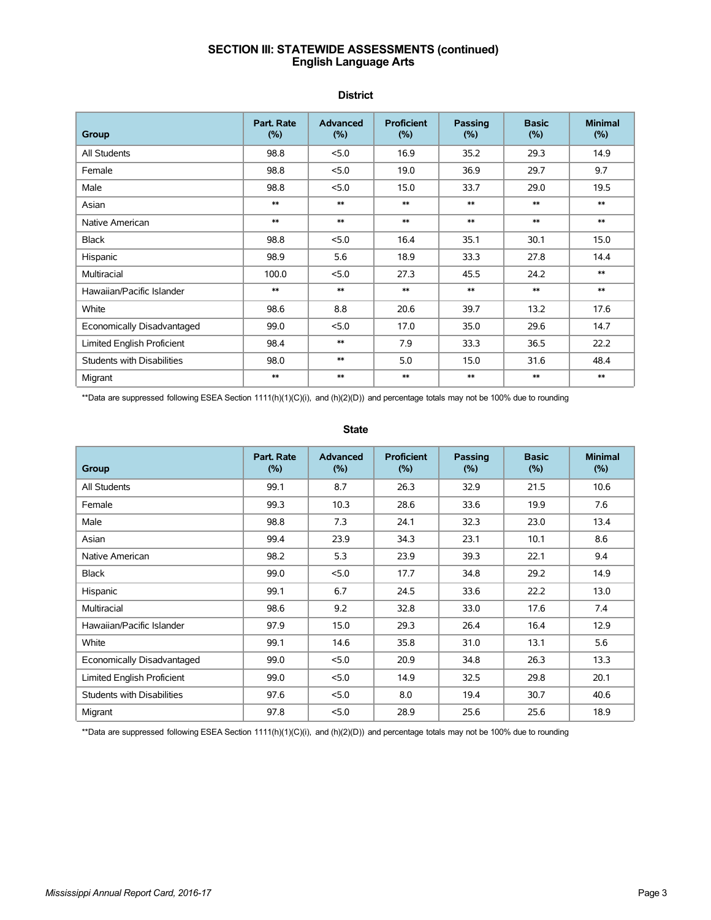### **SECTION III: STATEWIDE ASSESSMENTS (continued) English Language Arts**

 **District**

| Group                             | Part. Rate<br>(%) | Advanced<br>(%) | <b>Proficient</b><br>(%) | Passing<br>(%) | <b>Basic</b><br>(%) | <b>Minimal</b><br>(%) |
|-----------------------------------|-------------------|-----------------|--------------------------|----------------|---------------------|-----------------------|
| All Students                      | 98.8              | 5.0             | 16.9                     | 35.2           | 29.3                | 14.9                  |
| Female                            | 98.8              | 5.0             | 19.0                     | 36.9           | 29.7                | 9.7                   |
| Male                              | 98.8              | 5.0             | 15.0                     | 33.7           | 29.0                | 19.5                  |
| Asian                             | $**$              | $**$            | $**$                     | $**$           | $**$                | $**$                  |
| Native American                   | $**$              | $**$            | $**$                     | $**$           | $**$                | $**$                  |
| Black                             | 98.8              | 5.0             | 16.4                     | 35.1           | 30.1                | 15.0                  |
| Hispanic                          | 98.9              | 5.6             | 18.9                     | 33.3           | 27.8                | 14.4                  |
| Multiracial                       | 100.0             | 5.0             | 27.3                     | 45.5           | 24.2                | $**$                  |
| Hawaiian/Pacific Islander         | $**$              | $**$            | $**$                     | $**$           | $**$                | $**$                  |
| White                             | 98.6              | 8.8             | 20.6                     | 39.7           | 13.2                | 17.6                  |
| Economically Disadvantaged        | 99.0              | 5.0             | 17.0                     | 35.0           | 29.6                | 14.7                  |
| Limited English Proficient        | 98.4              | $**$            | 7.9                      | 33.3           | 36.5                | 22.2                  |
| <b>Students with Disabilities</b> | 98.0              | $**$            | 5.0                      | 15.0           | 31.6                | 48.4                  |
| Migrant                           | $**$              | $**$            | $**$                     | $**$           | $**$                | $**$                  |

\*\*Data are suppressed following ESEA Section 1111(h)(1)(C)(i), and (h)(2)(D)) and percentage totals may not be 100% due to rounding

 **State**

| Group                             | Part. Rate<br>(%) | <b>Advanced</b><br>(%) | <b>Proficient</b><br>$(\% )$ | <b>Passing</b><br>(%) | <b>Basic</b><br>(%) | <b>Minimal</b><br>(%) |
|-----------------------------------|-------------------|------------------------|------------------------------|-----------------------|---------------------|-----------------------|
| All Students                      | 99.1              | 8.7                    | 26.3                         | 32.9                  | 21.5                | 10.6                  |
| Female                            | 99.3              | 10.3                   | 28.6                         | 33.6                  | 19.9                | 7.6                   |
| Male                              | 98.8              | 7.3                    | 24.1                         | 32.3                  | 23.0                | 13.4                  |
| Asian                             | 99.4              | 23.9                   | 34.3                         | 23.1                  | 10.1                | 8.6                   |
| Native American                   | 98.2              | 5.3                    | 23.9                         | 39.3                  | 22.1                | 9.4                   |
| Black                             | 99.0              | 5.0                    | 17.7                         | 34.8                  | 29.2                | 14.9                  |
| Hispanic                          | 99.1              | 6.7                    | 24.5                         | 33.6                  | 22.2                | 13.0                  |
| Multiracial                       | 98.6              | 9.2                    | 32.8                         | 33.0                  | 17.6                | 7.4                   |
| Hawaiian/Pacific Islander         | 97.9              | 15.0                   | 29.3                         | 26.4                  | 16.4                | 12.9                  |
| White                             | 99.1              | 14.6                   | 35.8                         | 31.0                  | 13.1                | 5.6                   |
| Economically Disadvantaged        | 99.0              | 5.0                    | 20.9                         | 34.8                  | 26.3                | 13.3                  |
| Limited English Proficient        | 99.0              | 5.0                    | 14.9                         | 32.5                  | 29.8                | 20.1                  |
| <b>Students with Disabilities</b> | 97.6              | 5.0                    | 8.0                          | 19.4                  | 30.7                | 40.6                  |
| Migrant                           | 97.8              | 5.0                    | 28.9                         | 25.6                  | 25.6                | 18.9                  |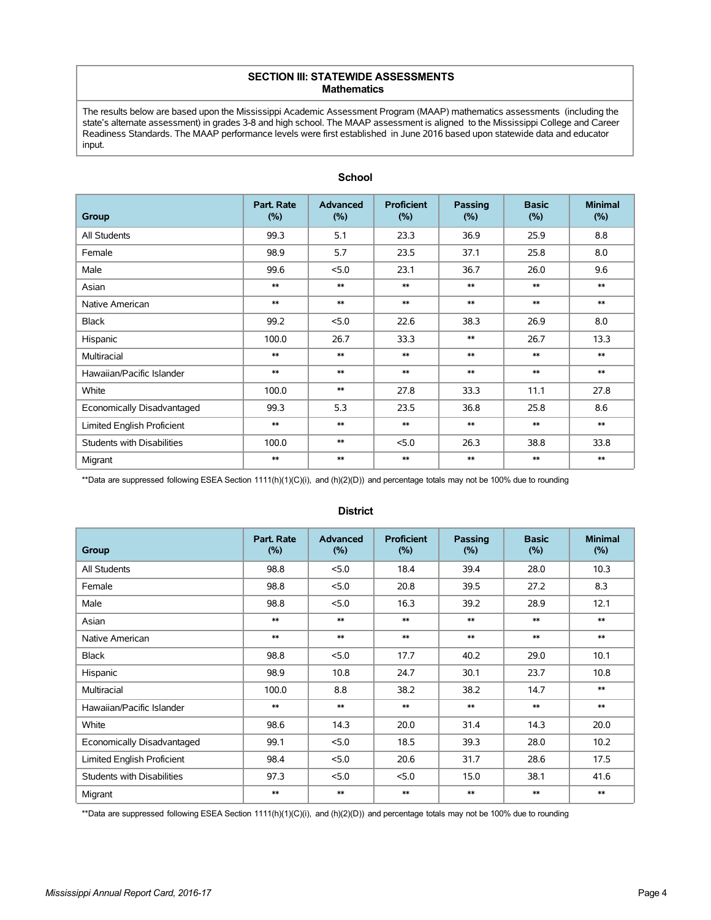#### **SECTION III: STATEWIDE ASSESSMENTS Mathematics**

The results below are based upon the Mississippi Academic Assessment Program (MAAP) mathematics assessments (including the state's alternate assessment) in grades 3-8 and high school. The MAAP assessment is aligned to the Mississippi College and Career Readiness Standards. The MAAP performance levels were first established in June 2016 based upon statewide data and educator input.

| Group                             | Part. Rate<br>(%) | <b>Advanced</b><br>(%) | <b>Proficient</b><br>(%) | Passing<br>(%) | <b>Basic</b><br>(%) | <b>Minimal</b><br>(%) |
|-----------------------------------|-------------------|------------------------|--------------------------|----------------|---------------------|-----------------------|
| All Students                      | 99.3              | 5.1                    | 23.3                     | 36.9           | 25.9                | 8.8                   |
| Female                            | 98.9              | 5.7                    | 23.5                     | 37.1           | 25.8                | 8.0                   |
| Male                              | 99.6              | 5.0                    | 23.1                     | 36.7           | 26.0                | 9.6                   |
| Asian                             | $**$              | $**$                   | $**$                     | $**$           | $**$                | $**$                  |
| Native American                   | $**$              | $**$                   | $**$                     | $**$           | $**$                | $**$                  |
| Black                             | 99.2              | 5.0                    | 22.6                     | 38.3           | 26.9                | 8.0                   |
| Hispanic                          | 100.0             | 26.7                   | 33.3                     | $**$           | 26.7                | 13.3                  |
| Multiracial                       | $**$              | $**$                   | $**$                     | $**$           | $**$                | $**$                  |
| Hawaiian/Pacific Islander         | $**$              | $**$                   | $**$                     | $**$           | $**$                | $**$                  |
| White                             | 100.0             | $**$                   | 27.8                     | 33.3           | 11.1                | 27.8                  |
| Economically Disadvantaged        | 99.3              | 5.3                    | 23.5                     | 36.8           | 25.8                | 8.6                   |
| Limited English Proficient        | $**$              | $**$                   | $**$                     | $**$           | $**$                | $**$                  |
| <b>Students with Disabilities</b> | 100.0             | $**$                   | 5.0                      | 26.3           | 38.8                | 33.8                  |
| Migrant                           | $**$              | $**$                   | $**$                     | $**$           | $**$                | $**$                  |

# **School**

\*\*Data are suppressed following ESEA Section 1111(h)(1)(C)(i), and (h)(2)(D)) and percentage totals may not be 100% due to rounding

| Group                      | Part. Rate<br>$(\% )$ | <b>Advanced</b><br>(% ) | <b>Proficient</b><br>(%) | Passing<br>(%) | <b>Basic</b><br>(%) | <b>Minimal</b><br>(% ) |
|----------------------------|-----------------------|-------------------------|--------------------------|----------------|---------------------|------------------------|
| All Students               | 98.8                  | 5.0                     | 18.4                     | 39.4           | 28.0                | 10.3                   |
| Female                     | 98.8                  | < 5.0                   | 20.8                     | 39.5           | 27.2                | 8.3                    |
| Male                       | 98.8                  | 5.0                     | 16.3                     | 39.2           | 28.9                | 12.1                   |
| Asian                      | $**$                  | $**$                    | $**$                     | $**$           | $**$                | $**$                   |
| Native American            | $**$                  | $**$                    | $**$                     | $**$           | $**$                | $**$                   |
| <b>Black</b>               | 98.8                  | < 5.0                   | 17.7                     | 40.2           | 29.0                | 10.1                   |
| Hispanic                   | 98.9                  | 10.8                    | 24.7                     | 30.1           | 23.7                | 10.8                   |
| Multiracial                | 100.0                 | 8.8                     | 38.2                     | 38.2           | 14.7                | $**$                   |
| Hawaiian/Pacific Islander  | $**$                  | $**$                    | $**$                     | $**$           | $**$                | $**$                   |
| White                      | 98.6                  | 14.3                    | 20.0                     | 31.4           | 14.3                | 20.0                   |
| Economically Disadvantaged | 99.1                  | 5.0                     | 18.5                     | 39.3           | 28.0                | 10.2                   |
| Limited English Proficient | 98.4                  | 5.0                     | 20.6                     | 31.7           | 28.6                | 17.5                   |
| Students with Disabilities | 97.3                  | < 5.0                   | 5.0                      | 15.0           | 38.1                | 41.6                   |
| Migrant                    | $**$                  | $**$                    | $**$                     | $**$           | $**$                | $**$                   |

### **District**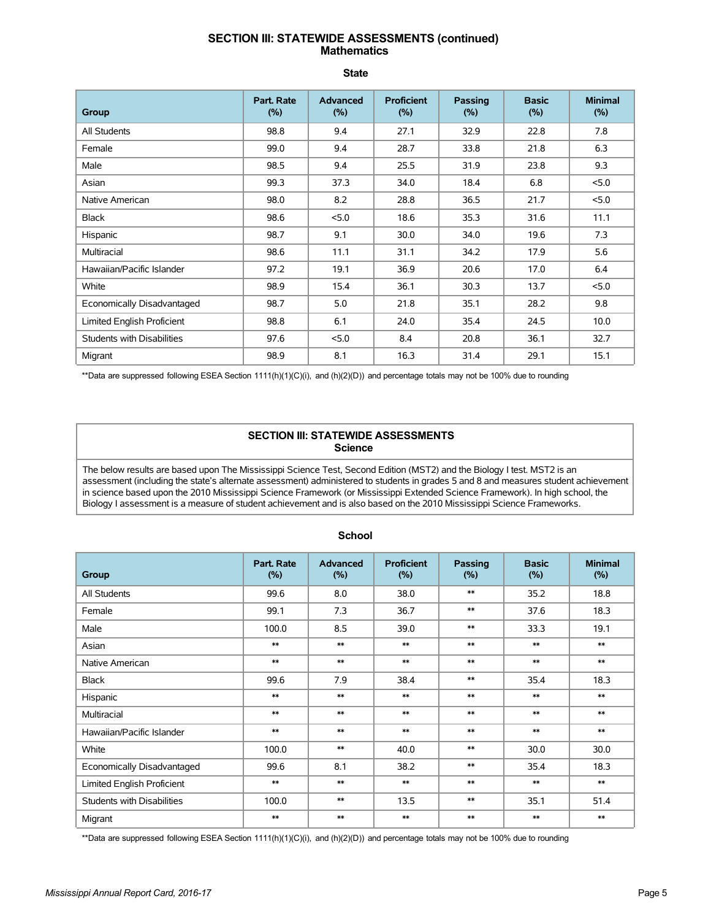# **SECTION III: STATEWIDE ASSESSMENTS (continued) Mathematics**

 **State**

| Group                      | Part. Rate<br>(%) | <b>Advanced</b><br>(%) | <b>Proficient</b><br>(%) | <b>Passing</b><br>(%) | <b>Basic</b><br>(%) | <b>Minimal</b><br>(%) |
|----------------------------|-------------------|------------------------|--------------------------|-----------------------|---------------------|-----------------------|
| All Students               | 98.8              | 9.4                    | 27.1                     | 32.9                  | 22.8                | 7.8                   |
| Female                     | 99.0              | 9.4                    | 28.7                     | 33.8                  | 21.8                | 6.3                   |
| Male                       | 98.5              | 9.4                    | 25.5                     | 31.9                  | 23.8                | 9.3                   |
| Asian                      | 99.3              | 37.3                   | 34.0                     | 18.4                  | 6.8                 | 5.0                   |
| Native American            | 98.0              | 8.2                    | 28.8                     | 36.5                  | 21.7                | 5.0                   |
| <b>Black</b>               | 98.6              | 5.0                    | 18.6                     | 35.3                  | 31.6                | 11.1                  |
| Hispanic                   | 98.7              | 9.1                    | 30.0                     | 34.0                  | 19.6                | 7.3                   |
| Multiracial                | 98.6              | 11.1                   | 31.1                     | 34.2                  | 17.9                | 5.6                   |
| Hawaiian/Pacific Islander  | 97.2              | 19.1                   | 36.9                     | 20.6                  | 17.0                | 6.4                   |
| White                      | 98.9              | 15.4                   | 36.1                     | 30.3                  | 13.7                | 5.0                   |
| Economically Disadvantaged | 98.7              | 5.0                    | 21.8                     | 35.1                  | 28.2                | 9.8                   |
| Limited English Proficient | 98.8              | 6.1                    | 24.0                     | 35.4                  | 24.5                | 10.0                  |
| Students with Disabilities | 97.6              | 5.0                    | 8.4                      | 20.8                  | 36.1                | 32.7                  |
| Migrant                    | 98.9              | 8.1                    | 16.3                     | 31.4                  | 29.1                | 15.1                  |

\*\*Data are suppressed following ESEA Section 1111(h)(1)(C)(i), and (h)(2)(D)) and percentage totals may not be 100% due to rounding

### **SECTION III: STATEWIDE ASSESSMENTS Science**

The below results are based upon The Mississippi Science Test, Second Edition (MST2) and the Biology I test. MST2 is an assessment (including the state's alternate assessment) administered to students in grades 5 and 8 and measures student achievement in science based upon the 2010 Mississippi Science Framework (or Mississippi Extended Science Framework). In high school, the Biology I assessment is a measure of student achievement and is also based on the 2010 Mississippi Science Frameworks.

| Group                             | Part. Rate<br>(%) | <b>Advanced</b><br>(%) | <b>Proficient</b><br>(%) | Passing<br>(%) | <b>Basic</b><br>(%) | <b>Minimal</b><br>(%) |
|-----------------------------------|-------------------|------------------------|--------------------------|----------------|---------------------|-----------------------|
| All Students                      | 99.6              | 8.0                    | 38.0                     | $**$           | 35.2                | 18.8                  |
| Female                            | 99.1              | 7.3                    | 36.7                     | $**$           | 37.6                | 18.3                  |
| Male                              | 100.0             | 8.5                    | 39.0                     | $**$           | 33.3                | 19.1                  |
| Asian                             | $**$              | $**$                   | $**$                     | $**$           | $**$                | $**$                  |
| Native American                   | $**$              | $**$                   | $**$                     | $**$           | $**$                | $**$                  |
| <b>Black</b>                      | 99.6              | 7.9                    | 38.4                     | $**$           | 35.4                | 18.3                  |
| Hispanic                          | $**$              | $\ast\ast$             | $\ast\ast$               | $**$           | $**$                | $**$                  |
| Multiracial                       | $**$              | $**$                   | $**$                     | $**$           | $**$                | $**$                  |
| Hawaiian/Pacific Islander         | $**$              | $**$                   | $**$                     | $**$           | $**$                | $**$                  |
| White                             | 100.0             | $**$                   | 40.0                     | $**$           | 30.0                | 30.0                  |
| Economically Disadvantaged        | 99.6              | 8.1                    | 38.2                     | $**$           | 35.4                | 18.3                  |
| Limited English Proficient        | $**$              | $**$                   | $**$                     | $**$           | $**$                | $**$                  |
| <b>Students with Disabilities</b> | 100.0             | $**$                   | 13.5                     | $**$           | 35.1                | 51.4                  |
| Migrant                           | $**$              | $**$                   | $**$                     | $**$           | $\ast\ast$          | $**$                  |

### **School**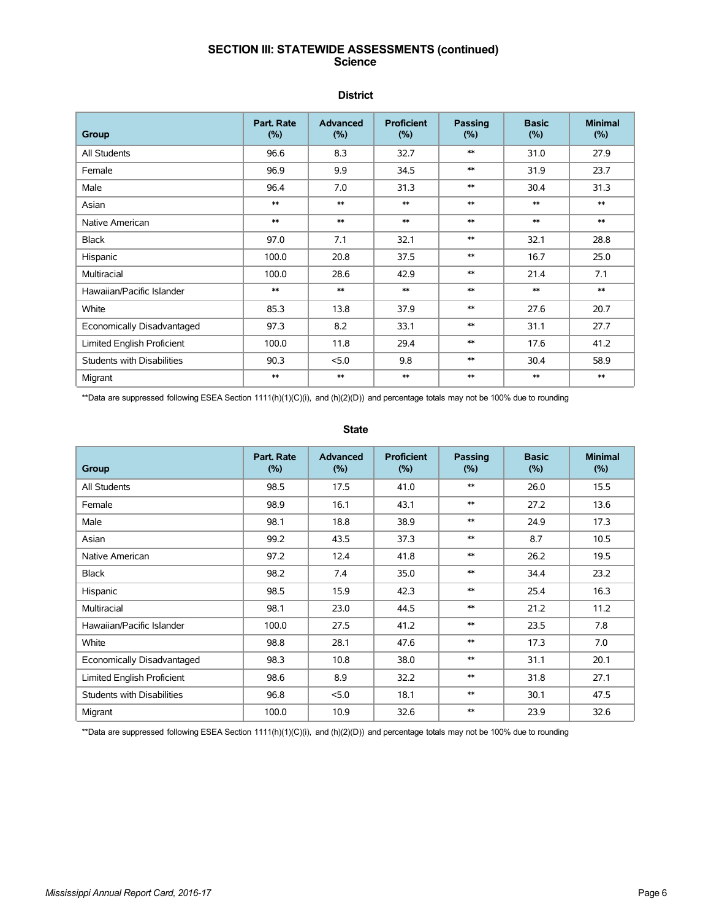# **SECTION III: STATEWIDE ASSESSMENTS (continued) Science**

### **District**

| Group                             | Part, Rate<br>(%) | <b>Advanced</b><br>(%) | <b>Proficient</b><br>$(\% )$ | Passing<br>(%) | <b>Basic</b><br>(%) | <b>Minimal</b><br>(%) |
|-----------------------------------|-------------------|------------------------|------------------------------|----------------|---------------------|-----------------------|
| All Students                      | 96.6              | 8.3                    | 32.7                         | $**$           | 31.0                | 27.9                  |
| Female                            | 96.9              | 9.9                    | 34.5                         | $**$           | 31.9                | 23.7                  |
| Male                              | 96.4              | 7.0                    | 31.3                         | $**$           | 30.4                | 31.3                  |
| Asian                             | $**$              | $**$                   | $\ast\ast$                   | $**$           | $**$                | $**$                  |
| Native American                   | $**$              | $**$                   | $**$                         | $**$           | $**$                | $**$                  |
| <b>Black</b>                      | 97.0              | 7.1                    | 32.1                         | $**$           | 32.1                | 28.8                  |
| Hispanic                          | 100.0             | 20.8                   | 37.5                         | $**$           | 16.7                | 25.0                  |
| Multiracial                       | 100.0             | 28.6                   | 42.9                         | $**$           | 21.4                | 7.1                   |
| Hawaiian/Pacific Islander         | $**$              | $**$                   | $**$                         | $**$           | $**$                | $**$                  |
| White                             | 85.3              | 13.8                   | 37.9                         | $**$           | 27.6                | 20.7                  |
| Economically Disadvantaged        | 97.3              | 8.2                    | 33.1                         | $**$           | 31.1                | 27.7                  |
| Limited English Proficient        | 100.0             | 11.8                   | 29.4                         | $**$           | 17.6                | 41.2                  |
| <b>Students with Disabilities</b> | 90.3              | 5.0                    | 9.8                          | $**$           | 30.4                | 58.9                  |
| Migrant                           | $**$              | $**$                   | $**$                         | $**$           | $**$                | $**$                  |

\*\*Data are suppressed following ESEA Section 1111(h)(1)(C)(i), and (h)(2)(D)) and percentage totals may not be 100% due to rounding

#### **State**

| Group                             | Part. Rate<br>(%) | <b>Advanced</b><br>(%) | <b>Proficient</b><br>(%) | <b>Passing</b><br>(%) | <b>Basic</b><br>(%) | <b>Minimal</b><br>(%) |
|-----------------------------------|-------------------|------------------------|--------------------------|-----------------------|---------------------|-----------------------|
| All Students                      | 98.5              | 17.5                   | 41.0                     | $**$                  | 26.0                | 15.5                  |
| Female                            | 98.9              | 16.1                   | 43.1                     | $**$                  | 27.2                | 13.6                  |
| Male                              | 98.1              | 18.8                   | 38.9                     | $**$                  | 24.9                | 17.3                  |
| Asian                             | 99.2              | 43.5                   | 37.3                     | $**$                  | 8.7                 | 10.5                  |
| Native American                   | 97.2              | 12.4                   | 41.8                     | $**$                  | 26.2                | 19.5                  |
| Black                             | 98.2              | 7.4                    | 35.0                     | $**$                  | 34.4                | 23.2                  |
| Hispanic                          | 98.5              | 15.9                   | 42.3                     | $**$                  | 25.4                | 16.3                  |
| Multiracial                       | 98.1              | 23.0                   | 44.5                     | $**$                  | 21.2                | 11.2                  |
| Hawaiian/Pacific Islander         | 100.0             | 27.5                   | 41.2                     | $**$                  | 23.5                | 7.8                   |
| White                             | 98.8              | 28.1                   | 47.6                     | $**$                  | 17.3                | 7.0                   |
| Economically Disadvantaged        | 98.3              | 10.8                   | 38.0                     | $**$                  | 31.1                | 20.1                  |
| <b>Limited English Proficient</b> | 98.6              | 8.9                    | 32.2                     | $**$                  | 31.8                | 27.1                  |
| Students with Disabilities        | 96.8              | 5.0                    | 18.1                     | $**$                  | 30.1                | 47.5                  |
| Migrant                           | 100.0             | 10.9                   | 32.6                     | $**$                  | 23.9                | 32.6                  |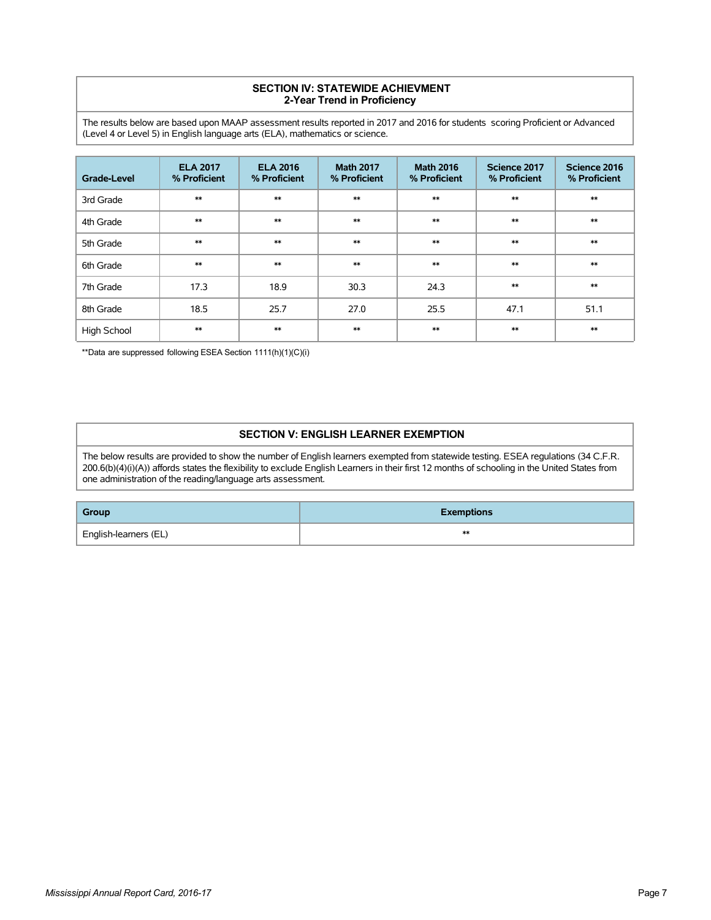### **SECTION IV: STATEWIDE ACHIEVMENT 2-Year Trend in Proficiency**

The results below are based upon MAAP assessment results reported in 2017 and 2016 for students scoring Proficient or Advanced (Level 4 or Level 5) in English language arts (ELA), mathematics or science.

| <b>Grade-Level</b> | <b>ELA 2017</b><br>% Proficient | <b>ELA 2016</b><br>% Proficient | <b>Math 2017</b><br>% Proficient | <b>Math 2016</b><br>% Proficient | Science 2017<br>% Proficient | Science 2016<br>% Proficient |
|--------------------|---------------------------------|---------------------------------|----------------------------------|----------------------------------|------------------------------|------------------------------|
| 3rd Grade          | $**$                            | $**$                            | $**$                             | $**$                             | $**$                         | $**$                         |
| 4th Grade          | $**$                            | $**$                            | $**$                             | $**$                             | $**$                         | $**$                         |
| 5th Grade          | $**$                            | $**$                            | $**$                             | $**$                             | $**$                         | $**$                         |
| 6th Grade          | $**$                            | $**$                            | $**$                             | $**$                             | $**$                         | $**$                         |
| 7th Grade          | 17.3                            | 18.9                            | 30.3                             | 24.3                             | $**$                         | $**$                         |
| 8th Grade          | 18.5                            | 25.7                            | 27.0                             | 25.5                             | 47.1                         | 51.1                         |
| <b>High School</b> | $**$                            | $**$                            | $**$                             | $**$                             | $**$                         | $**$                         |

\*\*Data are suppressed following ESEA Section 1111(h)(1)(C)(i)

### **SECTION V: ENGLISH LEARNER EXEMPTION**

The below results are provided to show the number of English learners exempted from statewide testing. ESEA regulations (34 C.F.R. 200.6(b)(4)(i)(A)) affords states the flexibility to exclude English Learners in their first 12 months of schooling in the United States from one administration of the reading/language arts assessment.

| Group                 | <b>Exemptions</b> |
|-----------------------|-------------------|
| English-learners (EL) | ∗∗                |